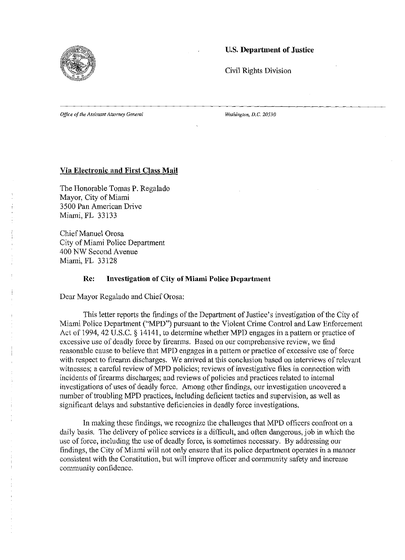

# u.s. Department of Justice

Civil Rights Division

*Office of the Assistant Attorney General* 

*Washington, D.C. 20530* 

### Via Electronic and First Class Mail

The Honorable Tomas P. Regalado Mayor, City of Miami 3500 Pan American Drive Miami, FL 33133

Chief Manuel Orosa City of Miami Police Department 400 NW Second Avenue Miami, FL 33128

### Re: Investigation of City of Miami Police Department

Dear Mayor Regalado and Chief Orosa:

This letter reports the findings of the Department of Justice's investigation of the City of Miami Police Department ("MPD") pursuant to the Violent Crime Control and Law Enforcement Act of 1994,42 U.S.C. § 14141, to determine whether MPD engages in a pattern or practice of excessive use of deadly force by firearms. Based on our comprehensive review, we find reasonable cause to believe that MPD engages in a pattern or practice of excessive use of force with respect to firearm discharges. We arrived at this conclusion based on interviews of relevant witnesses; a careful review of MPD policies; reviews of investigative files in connection with incidents of firearms discharges; and reviews of policies and practices related to internal investigations of uses of deadly force. Among other findings, our investigation uncovered a number of troubling MPD practices, including deficient tactics and supervision, as well as significant delays and substantive deficiencies in deadly force investigations.

In making these findings, we recognize the challenges that MPD officers confront on a daily basis. The delivery of police services is a difficult, and often dangerous, job in which the use of force, including the use of deadly force, is sometimes necessary. By addressing our findings, the City of Miami will not only ensure that its police department operates in a manner consistent with the Constitution, but will improve officer and community safety and increase community confidence.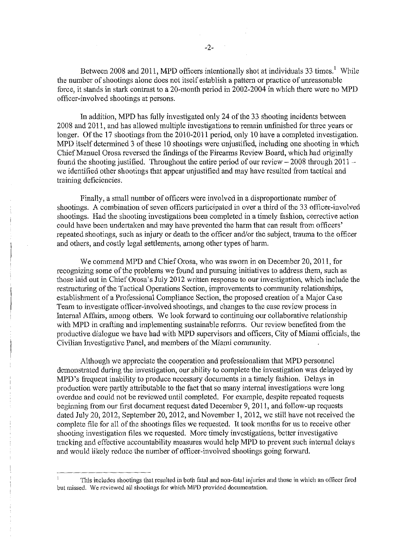In addition, MPD has fully investigated only 24 of the 33 shooting incidents between 2008 and 2011, and has allowed multiple investigations to remain unfinished for three years or longer. Of the 17 shootings from the 2010-2011 period, only 10 have a completed investigation. MPD itself determined 3 of these 10 shootings were unjustified, including one shooting in which Chief Manuel Orosa reversed the findings of the Firearms Review Board, which had originally found the shooting justified. Throughout the entire period of our review - 2008 through **2011**  we identified other shootings that appear unjustified and may have resulted from tactical and training deficiencies.

Finally, a small number of officers were involved in a disproportionate number of shootings. A combination of seven officers participated in over a third of the 33 officer-involved shootings. Had the shooting investigations been completed in a timely fashion, corrective action could have been undertaken and may have prevented the harm that can result from officers' repeated shootings, such as injury or death to the officer and/or the subject, trauma to the officer and others, and costly legal settlements, among other types of harm.

We commend MPD and Chief Orosa, who was sworn in on December 20, 2011, for recognizing some of the problems we found and pursuing initiatives to address them, such as those laid out in Chief Orosa's July 2012 written response to our investigation, which include the restructuring of the Tactical Operations Section, improvements to community relationships, establishment of a Professional Compliance Section, the proposed creation of a Major Case Team to investigate officer-involved shootings, and changes to the case review process in Internal Affairs, among others. We look forward to continuing our collaborative relationship with MPD in crafting and implementing sustainable reforms. Our review benefited from the productive dialogue we have had with MPD supervisors and officers, City of Miami officials, the Civilian Investigative Panel, and members of the Miami community.

Although we appreciate the cooperation and professionalism that MPD personnel demonstrated during the investigation, our ability to complete the investigation was delayed by MPD's frequent inability to produce necessary documents in a timely fashion. Delays in production were partly attributable to the fact that so many internal investigations were long overdue and could not be reviewed until completed. For example, despite repeated requests beginning from our first document request dated December 9,2011, and follow-up requests dated July 20, 2012, September 20, 2012, and November 1, 2012, we still have not received the complete file for all of the shootings files we requested. It took months for us to receive other shooting investigation files we requested. More timely investigations, better investigative tracking and effective accountability measures would help MPD to prevent such internal delays and would likely reduce the number of officer-involved shootings going forward.

This includes shootings that resulted in both fatal and non-fatal injuries and those in which an officer fired but missed. We reviewed all shootings for which MPD provided documentation.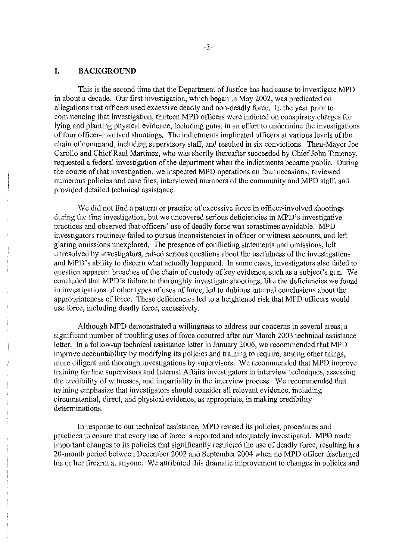### **I. BACKGROUND**

This is the second time that the Department of Justice has had cause to investigate MPD in about a decade. Our first investigation, which began in May 2002, was predicated on allegations that officers used excessive deadly and non-deadly force. In the year prior to commencing that investigation, thirteen MPD officers were indicted on conspiracy charges for lying and planting physical evidence, including guns, in an effort to undermine the investigations of four officer-involved shootings. The indictments implicated officers at various levels of the chain of command, including supervisory staff, and resulted in six convictions. Then-Mayor Joe Carollo and Chief Raul Martinez, who was shortly thereafter succeeded by Chief John Timoney, requested a federal investigation of the department when the indictments became public. During the course of that investigation, we inspected MPD operations on four occasions, reviewed numerous policies and case files, interviewed members of the community and MPD staff, and provided detailed technical assistance.

We did not find a pattern or practice of excessive force in officer-involved shootings during the first investigation, but we uncovered serious deficiencies in MPD's investigative practices and observed that officers' use of deadly force was sometimes avoidable. MPD investigators routinely failed to pursue inconsistencies in officer or witness accounts, and left glaring omissions unexplored. The presence of conflicting statements and omissions, left unresolved by investigators, raised serious questions about the usefulness of the investigations and MPD's ability to discern what actually happened. In some cases, investigators also failed to question apparent breaches of the chain of custody of key evidence, such as a subject's gun. We concluded that MPD's failure to thoroughly investigate shootings, like the deficiencies we found in investigations of other types of uses of force, led to dubious internal conclusions about the appropriateness of force. These deficiencies led to a heightened risk that MPD officers would use force, including deadly force, excessively.

Although MPD demonstrated a willingness to address our concerns in several areas, a significant number of troubling uses of force occurred after our March 2003 technical assistance letter. In a follow-up technical assistance letter in January 2006, we recommended that MPD improve accountability by modifying its policies and training to require, among other things, more diligent and thorough investigations by supervisors. We recommended that MPD improve training for line supervisors and Internal Affairs investigators in interview techniques, assessing the credibility of witnesses, and impartiality in the interview process. We recommended that training emphasize that investigators should consider all relevant evidence, including circumstantial, direct, and physical evidence, as appropriate, in making credibility determinations.

In response to our technical assistance, MPD revised its policies, procedures and practices to ensure that every use of force is reported and adequately investigated. MPD made important changes to its policies that significantly restricted the use of deadly force, resulting in a 20-month period between December 2002 and September 2004 when no MPD officer discharged his or her firearm at anyone. We attributed this dramatic improvement to changes in policies and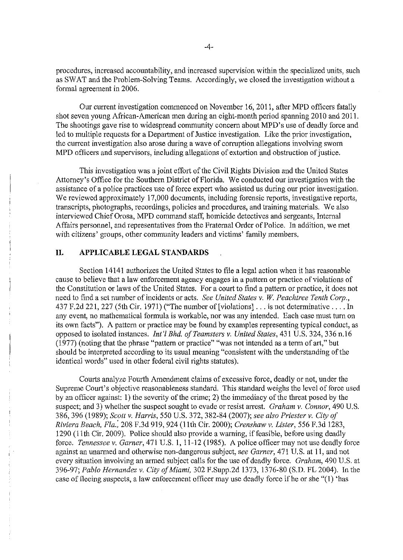procedures, increased accountability, and increased supervision within the specialized units, such as SWAT and the Problem-Solving Teams. Accordingly, we closed the investigation without a formal agreement in 2006.

Our current investigation commenced on November 16, 2011, after MPD officers fatally shot seven young African-American men during an eight-month period spanning 2010 and 2011. The shootings gave rise to widespread community concern about MPD's use of deadly force and led to multiple requests for a Department of Justice investigation. Like the prior investigation, the current investigation also arose during a wave of corruption allegations involving sworn MPD officers and supervisors, including allegations of extortion and obstruction of justice.

This investigation was a joint effort of the Civil Rights Division and the United States Attorney's Office for the Southern District of Florida. We conducted our investigation with the assistance of a police practices use of force expert who assisted us during our prior investigation. We reviewed approximately 17,000 documents, including forensic reports, investigative reports, transcripts, photographs, recordings, policies and procedures, and training materials. We also interviewed Chief Orosa, MPD command staff, homicide detectives and sergeants, Internal Affairs personnel, and representatives from the Fraternal Order of Police. In addition, we met with citizens' groups, other community leaders and victims' family members.

# **II. APPLICABLE LEGAL STANDARDS**

Section 14141 authorizes the United States to file a legal action when it has reasonable cause to believe that a law enforcement agency engages in a pattern or practice of violations of the Constitution or laws of the United States. For a court to find a pattern or practice, it does not need to find a set number of incidents or acts. *See United States* v. *W. Peachtree Tenth Corp.,*  437 F.2d 221,227 (5th Cir. 1971) ("The number of [violations] ... is not determinative .... In any event, no mathematical formula is workable, nor was any intended. Each case must turn on its own facts"). A pattern or practice may be found by examples representing typical conduct, as opposed to isolated instances. *In!'l Bhd. a/Teamsters* v. *United States,* 431 U.S. 324, 336 n.16 (1977) (noting that the phrase "pattem or practice" "was not intended as a term of art," but should be interpreted according to its usual meaning "consistent with the understanding of the identical words" used in other federal civil rights statutes).

Courts analyze Fourth Amendment claims of excessive force, deadly or not, under the Supreme Court's objective reasonableness standard. This standard weighs the level of force used by an officer against: 1) the severity of the crime; 2) the immediacy of the threat posed by the suspect; and 3) whether the suspect sought to evade or resist arrest. *Graham* v. *Connor,* 490 U.S. 386,396 (1989); *Scott* v. *Harris,* 550 U.S. 372, 382-84 (2007); *see also Priester* v. *City of Riviera Beach, Fla.;* 208 F.3d 919,924 (11th Cir. 2000); *Crenshaw* v. *Lister,* 556 F.3d 1283, 1290 (11th Cir. 2009). Police should also provide a waming, if feasible, before using deadly force. *Tennessee* v. *Garner,* 471 U.S. 1, 11-12 (1985). A police officer may not use deadly force against an unarmed and otherwise non-dangerous subject, *see Garner,* 471 U.S. at 11, and not every situation involving an armed subject calls for the use of deadly force. *Graham*, 490 U.S. at 396-97; *Pablo Hernandez* v. *City a/Miami,* 302 F.Supp.2d 1373,1376-80 (S.D. FL 2004). In the case of fleeing suspects, a law enforcement officer may use deadly force ifhe or she "(1) 'has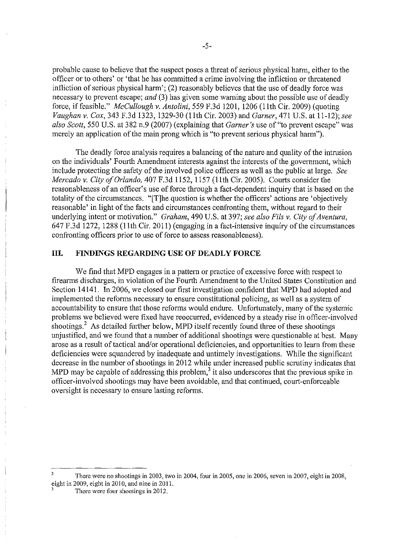probable cause to believe that the suspect poses a threat of serious physical harm, either to the officer or to others' or 'that he has committed a crime involving the infliction or threatened infliction of serious physical harm'; (2) reasonably believes that the use of deadly force was necessary to prevent escape; *and* (3) has given some warning about the possible use of deadly force, if feasible." *McCullough v. Antolini*, 559 F.3d 1201, 1206 (11th Cir. 2009) (quoting *Vaughan* v. *Cox,* 343 F.3d 1323, 1329-30 (11th Cir. 2003) and *Garner,* 471 U.S. at 11-12); *see also Scott,* 550 U.S. at 382 n.9 (2007) (explaining that *Garner's* use of "to prevent escape" was merely an application of the main prong which is "to prevent serious physical harm").

The deadly force analysis requires a balancing of the nature and quality of the intrusion on the individuals' Fourth Amendment interests against the interests of the government, which include protecting the safety of the involved police officers as well as the public at large. *See Mercado* v. *City of Orlando,* 407 F.3d 1152, 1157 (11th Cir. 2005). Courts consider the reasonableness of an officer's use of force through a fact-dependent inquiry that is based on the totality of the circumstances. "[T]he question is whether the officers' actions are 'objectively reasonable' in light of the facts and circumstances confronting them, without regard to their underlying intent or motivation." *Graham,* 490 U.S. at 397; *see also Fils* v. *City of Aventura,*  647 F, 3d 1272, 1288 (11th Cir. 2011) (engaging in a fact-intensive inquiry of the circumstances confronting officers prior to use of force to assess reasonableness).

### **III. FINDINGS REGARDING USE OF DEADLY FORCE**

We find that MPD engages in a pattern or practice of excessive force with respect to firearms discharges, in violation of the Fourth Amendment to the United States Constitution and Section 14141. In 2006, we closed our first investigation confident that MPD had adopted and implemented the reforms necessary to ensure constitutional policing, as well as a system of accountability to ensure that those reforms would endure. Unfortunately, many of the systemic problems we believed were fixed have reoccurred, evidenced by a steady rise in officer-involved shootings.<sup>2</sup> As detailed further below, MPD itself recently found three of these shootings unjustified, and we found that a number of additional shootings were questionable at best. Many arose as a result of tactical and/or operational deficiencies, and opportunities to learn from these deficiencies were squandered by inadequate and untimely investigations. While the significant decrease in the number of shootings in 2012 while under increased public scrutiny indicates that MPD may be capable of addressing this problem,<sup>3</sup> it also underscores that the previous spike in officer-involved shootings may have been avoidable, and that continued, court-enforceable oversight is necessary to ensure lasting reforms.

There were no shootings in 2003, two in 2004, four in 2005, one in 2006, seven in 2007, eight in 2008, eight in 2009, eight in 2010, and nine in 2011.

There were four shootings in 2012.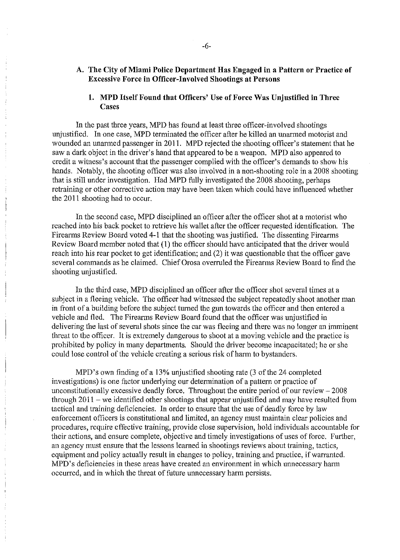## A. The City of Miami Police Department Has Engaged in a Pattern or Practice of Excessive Force in Officer-Involved Shootings at Persons

## 1. MPD Itself Found that Officers' Use of Force Was Unjustified in Three **Cases**

In the past three years, MPD has found at least three officer-involved shootings unjustified. In one case, MPD terminated the officer after he killed an unarmed motorist and wounded an unarmed passenger in 2011. MPD rejected the shooting officer's statement that he saw a dark object in the driver's hand that appeared to be a weapon. MPD also appeared to credit a witness's account that the passenger complied with the officer's demands to show his hands. Notably, the shooting officer was also involved in a non-shooting role in a 2008 shooting that is still under investigation. Had MPD fully investigated the 2008 shooting, perhaps retraining or other corrective action may have been taken which could have influenced whether the 2011 shooting had to occur.

In the second case, MPD disciplined an officer after the officer shot at a motorist who reached into his back pocket to retrieve his wallet after the officer requested identification. The Firearms Review Board voted 4-1 that the shooting was justified. The dissenting Firearms Review Board member noted that (1) the officer should have anticipated that the driver would reach into his rear pocket to get identification; and (2) it was questionable that the officer gave several commands as he claimed. Chief Orosa overruled the Firearms Review Board to find the shooting unjustified.

In the third case, MPD disciplined an officer after the officer shot several times at a subject in a fleeing vehicle. The officer had witnessed the subject repeatedly shoot another man in front of a building before the subject turned the gun towards the officer and then entered a vehicle and fled. The Firearms Review Board found that the officer was unjustified in delivering the last of several shots since the car was fleeing and there was no longer an imminent threat to the officer. It is extremely dangerous to shoot at a moving vehicle and the practice is prohibited by policy in many departments. Should the driver become incapacitated; he or she could lose control of the vehicle creating a serious risk of harm to bystanders.

MPD's own finding of a 13% unjustified shooting rate (3 of the 24 completed investigations) is one factor underlying our determination of a pattern or practice of unconstitutionally excessive deadly force. Throughout the entire period of our review - 2008 through  $2011$  – we identified other shootings that appear unjustified and may have resulted from tactical and training deficiencies. In order to ensure that the use of deadly force by law enforcement officers is constitutional and limited, an agency must maintain clear policies and procedures, require effective training, provide close supervision, hold individuals accountable for their actions, and ensure complete, objective and timely investigations of uses of force. Further, an agency must ensure that the lessons learned in shootings reviews about training, tactics, equipment and policy actually result in changes to policy, training and practice, if warranted. MPD's deficiencies in these areas have created an environment in which unnecessary harm occurred, and in which the threat of future unnecessary harm persists.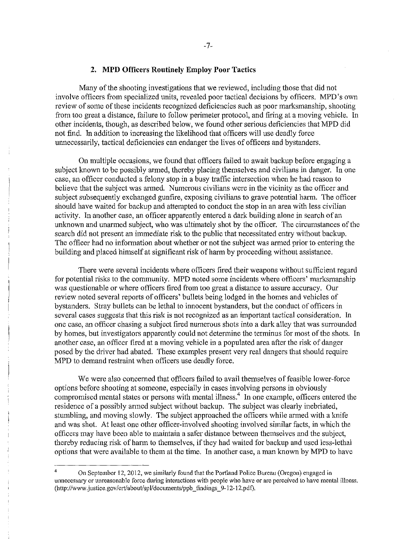#### **2. MPD Officers Routinely Employ Poor Tactics**

Many of the shooting investigations that we reviewed, including those that did not involve officers from specialized units, revealed poor tactical decisions by officers. MPD's own review of some of these incidents recognized deficiencies such as poor marksmanship, shooting from too great a distance, failure to follow perimeter protocol, and firing at a moving vehicle. In other incidents, though, as described below, we found other serious deficiencies that MPD did not find. In addition to increasing the likelihood that officers will use deadly force unnecessarily, tactical deficiencies can endanger the lives of officers and bystanders.

On multiple occasions, we found that officers failed to await backup before engaging a subject known to be possibly armed, thereby placing themselves and civilians in danger. In one case, an officer conducted a felony stop in a busy traffic intersection when he had reason to believe that the subject was armed. Numerous civilians were in the vicinity as the officer and subject subsequently exchanged gunfire, exposing civilians to grave potential harm. The officer should have waited for backup and attempted to conduct the stop in an area with less civilian activity. In another case, an officer apparently entered a dark building alone in search of an unknown and unarmed subject, who was ultimately shot by the officer. The circumstances of the search did not present an immediate risk to the public that necessitated entry without backup. The officer had no information about whether or not the subject was armed prior to entering the building and placed himself at significant risk of harm by proceeding without assistance.

There were several incidents where officers fired their weapons without sufficient regard for potential risks to the community. MPD noted some incidents where officers' marksmanship was questionable or where officers fired from too great a distance to assure accuracy. Our review noted several reports of officers' bullets being lodged in the homes and vehicles of bystanders. Stray bullets can be lethal to innocent bystanders, but the conduct of officers in several cases suggests that this risk is not recognized as an important tactical consideration. In one case, an officer chasing a subject fired numerous shots into a dark alley that was surrounded by homes, but investigators apparently could not determine the terminus for most of the shots. In another case, an officer fired at a moving vehicle in a populated area after the risk of danger posed by the driver had abated. These examples present very real dangers that should require MPD to demand restraint when officers use deadly force.

We were also concerned that officers failed to avail themselves of feasible lower-force options before shooting at someone, especially in cases involving persons in obviously compromised mental states or persons with mental illness.<sup>4</sup> In one example, officers entered the residence of a possibly armed subject without backup. The subject was clearly inebriated, stumbling, and moving slowly. The subject approached the officers while armed with a knife and was shot. At least one other officer-involved shooting involved similar facts, in which the officers may have been able to maintain a safer distance between themselves and the subject, thereby reducing risk of harm to themselves, if they had waited for backup and used less-lethal options that were available to them at the time. In another case, a man known by MPD to have

<sup>4</sup> On September 12, 2012, we similarly found that the Portland Police Bureau (Oregon) engaged in **unnecessary or unreasonable force during interactions with people who have or are perceived to have mental illness.**  (http://www .justiee.goy/ertiabout/sp I/documents/ppb \_findings \_9-12-12. pdf).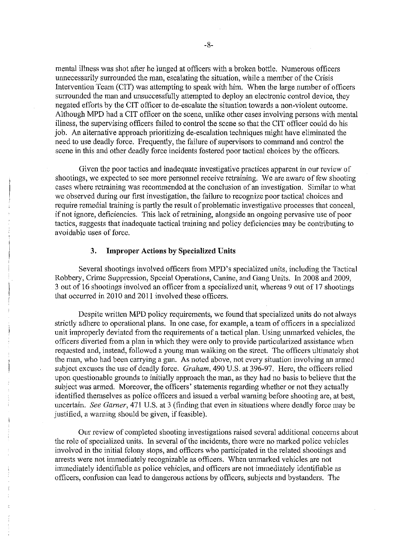mental illness was shot after he lunged at officers with a broken bottle. Numerous officers unnecessarily surrounded the man, escalating the situation, while a member of the Crisis Intervention Team (CIT) was attempting to speak with him. When the large number of officers surrounded the man and unsuccessfully attempted to deploy an electronic control device, they negated efforts by the CIT officer to de-escalate the situation towards a non-violent outcome. Although MPD had a CIT officer on the scene, unlike other cases involving persons with mental illness, the supervising officers failed to control the scene so that the CIT officer could do his job. An alternative approach prioritizing de-escalation techniques might have eliminated the need to use deadly force. Frequently, the failure of supervisors to command and control the scene in this and other deadly force incidents fostered poor tactical choices by the officers.

Given the poor tactics and inadequate investigative practices apparent in our review of shootings, we expected to see more personnel receive retraining. We are aware of few shooting cases where retraining was recommended at the conclusion of an investigation. Similar to what we observed during our first investigation, the failure to recognize poor tactical choices and require remedial training is partly the result of problematic investigative processes that conceal, if not ignore, deficiencies. This lack of retraining, alongside an ongoing pervasive use of poor tactics, suggests that inadequate tactical training and policy deficiencies may be contributing to avoidable uses of force.

### 3. **Improper Actions by Specialized Units**

Several shootings involved officers from MPD's specialized units, including the Tactical Robbery, Crime Suppression, Special Operations, Canine, and Gang Units. In 2008 and 2009, 3 out of 16 shootings involved an officer from a specialized unit, whereas 9 out of 17 shootings that occurred in 2010 and 2011 involved these officers.

Despite written MPD policy requirements, we found that specialized units do not always strictly adhere to operational plans. In one case, for example, a team of officers in a specialized unit improperly deviated from the requirements of a tactical plan. Using unmarked vehicles, the officers diverted from a plan in which they were only to provide particularized assistance when requested and, instead, followed a young man walking on the street. The officers ultimately shot the man, who had been carrying a gun. As noted above, not every situation involving an armed subject excuses the use of deadly force. *Graham,* 490 U.S. at 396-97. Here, the officers relied upon questionable grounds to initially approach the man, as they had no basis to believe that the subject was armed. Moreover, the officers' statements regarding whether or not they actually identified themselves as police officers and issued a verbal warning before shooting are, at best, uncertain. *See Garner,* 471 U.S. at 3 (finding that even in situations where deadly force may be justified, a warning should be given, if feasible).

Our review of completed shooting investigations raised several additional concerns about the role of specialized units. In several of the incidents, there were no marked police vehicles involved in the initial felony stops, and officers who participated in the related shootings and arrests were not immediately recognizable as officers. When unmarked vehicles are not immediately identifiable as police vehicles, and officers are not immediately identifiable as officers, confusion can lead to dangerous actions by officers, subjects and bystanders. The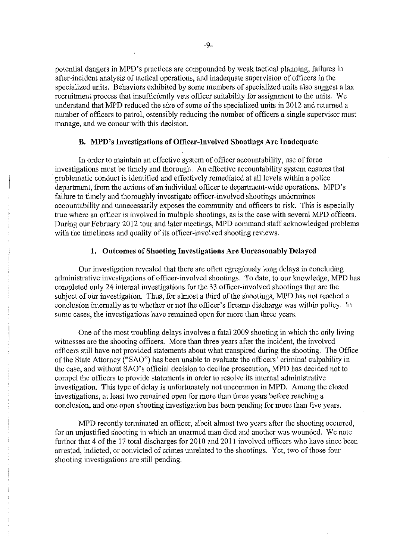potential dangers in MPD's practices are compounded by weak tactical planning, failures in after-incident analysis of tactical operations, and inadequate supervision of officers in the specialized units. Behaviors exhibited by some members of specialized units also suggest a lax recruitment process that insufficiently vets officer suitability for assignment to the units. We understand that MPD reduced the size of some of the specialized units in 2012 and returned a number of officers to patrol, ostensibly reducing the number of officers a single supervisor must manage, and we concur with this decision.

### **B. MPD's Investigations of Officer-Involved Shootings Are Inadequate**

In order to maintain an effective system of officer accountability, use of force investigations must be timely and thorough. An effective accountability system ensures that problematic conduct is identified and effectively remediated at all levels within a police department, from the actions of an individual officer to department-wide operations. MPD's failure to timely and thoroughly investigate officer-involved shootings undermines accountability and unnecessarily exposes the community and officers to risk. This is especially true where an officer is involved in multiple shootings, as is the case with several MPD officers. During our February 2012 tour and later meetings, MPD command staff acknowledged problems with the timeliness and quality of its officer-involved shooting reviews.

### **1. Outcomes of Shooting Investigations Are Unreasonably Delayed**

Our investigation revealed that there are often egregiously long delays in concluding administrative investigations of officer-involved shootings. To date, to our knowledge, MPD has completed only 24 internal investigations for the 33 officer-involved shootings that are the subject of our investigation. Thus, for almost a third of the shootings, MPD has not reached a conclusion internally as to whether or not the officer's firearm discharge was within policy. In some cases, the investigations have remained open for more than three years.

One of the most troubling delays involves a fatal 2009 shooting in which the only living witnesses are the shooting officers. More than three years after the incident, the involved officers still have not provided statements about what transpired during the shooting. The Office of the State Attorney ("SAO") has been unable to evaluate the officers' criminal culpability in the case, and without SAO's official decision to decline prosecution, MPD has decided not to compel the officers to provide statements in order to resolve its internal administrative investigation. This type of delay is unfortunately not uncommon in MPD. Among the closed investigations, at least two remained open for more than three years before reaching a conclusion, and one open shooting investigation has been pending for more than five years.

MPD recently terminated an officer, albeit almost two years after the shooting occurred, for an unjustified shooting in which an unarmed man died and another was wounded. We note further that 4 of the 17 total discharges for 2010 and 2011 involved officers who have since been arrested, indicted, or convicted of crimes unrelated to the shootings. Yet, two of those four shooting investigations are still pending.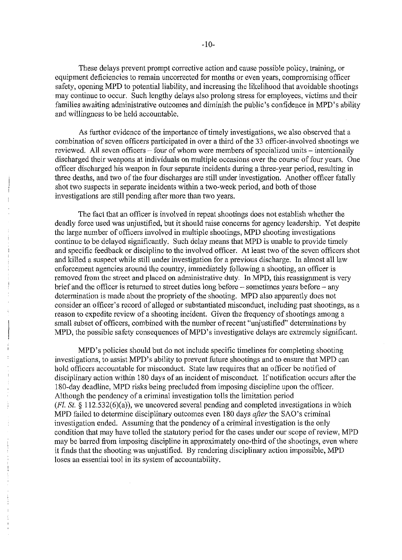These delays prevent prompt corrective action and cause possible policy, training, or equipment deficiencies to remain uncorrected for months or even years, compromising officer safety, opening MPD to potential liability, and increasing the likelihood that avoidable shootings may continue to occur. Such lengthy delays also prolong stress for employees, victims and their families awaiting administrative outcomes and diminish the public's confidence in MPD's ability and willingness to be held accountable.

As further evidence of the importance of timely investigations, we also observed that a combination of seven officers participated in over a third of the 33 officer-involved shootings we reviewed. All seven officers – four of whom were members of specialized units – intentionally discharged their weapons at individuals on multiple occasions over the course of four years. One officer discharged his weapon in four separate incidents during a three-year period, resulting in three deaths, and two of the four discharges are still under investigation. Another officer fatally shot two suspects in separate incidents within a two-week period, and both of those investigations are still pending after more than two years.

The fact that an officer is involved in repeat shootings does not establish whether the deadly force used was unjustified, but it should raise concerns for agency leadership. Yet despite the large number of officers involved in multiple shootings, MPD shooting investigations continue to be delayed significantly. Such delay means that MPD is unable to provide timely and specific feedback or discipline to the involved officer. At least two of the seven officers shot and killed a suspect while still under investigation for a previous discharge. In almost all law enforcement agencies around the country, immediately following a shooting, an officer is removed from the street and placed on administrative duty. In MPD, this reassignment is very brief and the officer is returned to street duties long before - sometimes years before - any determination is made about the propriety of the shooting. MPD also apparently does not consider an officer's record of alleged or substantiated misconduct, including past shootings, as a reason to expedite review of a shooting incident. Given the frequency of shootings among a small subset of officers, combined with the number of recent "unjustified" determinations by MPD, the possible safety consequences of MPD's investigative delays are extremely significant.

MPD's policies should but do not include specific timelines for completing shooting investigations, to assist MPD's ability to prevent future shootings and to ensure that MPD can hold officers accountable for misconduct. State law requires that an officer be notified of disciplinary action within 180 days of an incident of misconduct. If notification occurs after the 180-day deadline, MPD risks being precluded from imposing discipline upon the officer. Although the pendency of a criminal investigation tolls the limitation period  $(Fl. St. § 112.532(6)(a))$ , we uncovered several pending and completed investigations in which MPD failed to determine disciplinary outcomes even 180 days *after* the SAO's criminal investigation ended. Assuming that the pendency of a criminal investigation is the only condition that may have tolled the statutory period for the cases under our scope of review, MPD may be barred from imposing discipline in approximately one-third of the shootings, even where it finds that the shooting was unjustified. By rendering disciplinary action impossible, MPD loses an essential tool in its system of accountability.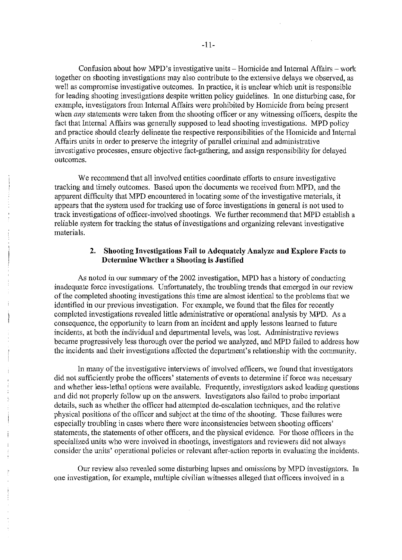Confusion about how MPD's investigative units – Homicide and Internal Affairs – work together on shooting investigations may also contribute to the extensive delays we observed, as well as compromise investigative outcomes. In practice, it is unclear which unit is responsible for leading shooting investigations despite written policy guidelines. In one disturbing case, for example, investigators from Internal Affairs were prohibited by Homicide from being present when *any* statements were taken from the shooting officer or any witnessing officers, despite the fact that Internal Affairs was generally supposed to lead shooting investigations. MPD policy and practice should clearly delineate the respective responsibilities of the Homicide and Internal Affairs units in order to preserve the integrity of parallel criminal and administrative investigative processes, ensure objective fact-gathering, and assign responsibility for delayed outcomes.

We recommend that all involved entities coordinate efforts to ensure investigative tracking and timely outcomes. Based upon the'documents we received from MPD, and the apparent difficulty that MPD encountered in locating some of the investigative materials, it appears that the system used for tracking use of force investigations in general is not used to track investigations of officer-involved shootings. We further recommend that MPD establish a reliable system for tracking the status of investigations and organizing relevant investigative materials.

# 2. Shooting Investigations Fail to Adequately Analyze and Explore Facts to Determine Whether a Shooting is Justified

As noted in our summary of the 2002 investigation, MPD has a history of conducting inadequate force investigations. Unfortunately, the troubling trends that emerged in our review of the completed shooting investigations this time are almost identical to the problems that we identified in our previous investigation. For example, we found that the files for recently completed investigations revealed little administrative or operational analysis by MPD. As a consequence, the opportunity to learn from an incident and apply lessons learned to future incidents, at both the individual and departmental levels, was lost. Administrative reviews became progressively less thorough over the period we analyzed, and MPD failed to address how the incidents and their investigations affected the department's relationship with the community.

In many of the investigative interviews of involved officers, we found that investigators did not sufficiently probe the officers' statements of events to determine if force was necessary and whether less-lethal options were available. Frequently, investigators asked leading questions and did not properly follow up on the answers. Investigators also failed to probe important details, such as whether the officer had attempted de-escalation techniques, and the relative physical positions of the officer and subject at the time of the shooting. These failures were especially troubling in cases where there were inconsistencies between shooting officers' statements, the statements of other officers, and the physical evidence. For those officers in the specialized units who were involved in shootings, investigators and reviewers did not always consider the units' operational policies or relevant after-action reports in evaluating the incidents.

Our review also revealed some disturbing lapses and omissions by MPD investigators. In one investigation, for example, multiple civilian witnesses alleged that officers involved in a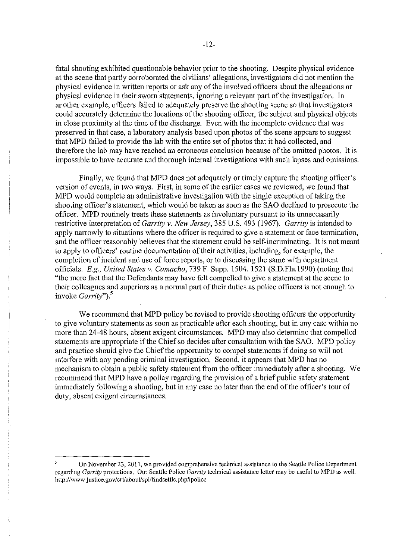fatal shooting exhibited questionable behavior prior to the shooting. Despite physical evidence at the scene that partly corroborated the civilians' allegations, investigators did not mention the physical evidence in written reports or ask any of the involved officers about the allegations or physical evidence in their sworn'statements, ignoring a relevant part of the investigation. In another example, officers failed to adequately preserve the shooting scene so that investigators could accurately determine the locations of the shooting officer, the subject and physical objects in close proximity at the time of the discharge. Even with the incomplete evidence that was preserved in that case, a laboratory analysis based upon photos of the scene appears to suggest that MPD failed to provide the lab with the entire set of photos that it had collected, and therefore the lab may have reached an erroneous conclusion because of the omitted photos. It is impossible to have accurate and thorough internal investigations with such lapses and omissions.

Finally, we found that MPD does not adequately or timely capture the shooting officer's version of events, in two ways. First, in some of the earlier cases we reviewed, we found that MPD would complete an administrative investigation with the single exception of taking the shooting officer's statement, which would be taken as soon as the SAO declined to prosecute the officer. MPD routinely treats these statements as involuntary pursuant to its unnecessarily restrictive interpretation of *Garrity* v. *New Jersey,* 385 U.S. 493 (1967). *Garrity* is intended to apply narrowly to situations where the officer is required to give a statement or face termination, and the officer reasonably believes that the statement could be self-incriminating. It is not meant to apply to officers' routine documentation of their activities, including, for example, the completion of incident and use of force reports, or to discussing the same with department officials. *E.g., United States* v. *Camacho,* 739 F. Supp. 1504. 1521 (S.D.Fla.1990) (noting that "the mere fact that the Defendants may have felt compelled to give a statement at the scene to their colleagues and superiors as a normal part of their duties as police officers is not enough to invoke *Garrity*").<sup>5</sup>

We recommend that MPD policy be revised to provide shooting officers the opportunity to give voluntary statements as soon as practicable after each shooting, but in any case within no more than 24-48 hours, absent exigent circumstances. MPD may also determine that compelled statements are appropriate if the Chief so decides after consultation with the SAO. MPD policy and practice should give the Chief the opportunity to compel statements if doing so will not interfere with any pending criminal investigation. Second, it appears that MPD has no mechanism to obtain a public safety statement from the officer immediately after a shooting. We recommend that MPD have a policy regarding the provision of a brief public safety statement immediately following a shooting, but in any case no later than the end of the officer's tour of duty, absent exigent circumstances.

On November 23, 2011, we provided comprehensive technical assistance to the Seattle Police Department regarding *Garrity* protections. Our Seattle Police *Garrity* technical assistance letter may be useful to MPD as well. http://www.justice.gov/crt/about/spl/findsettle.php#police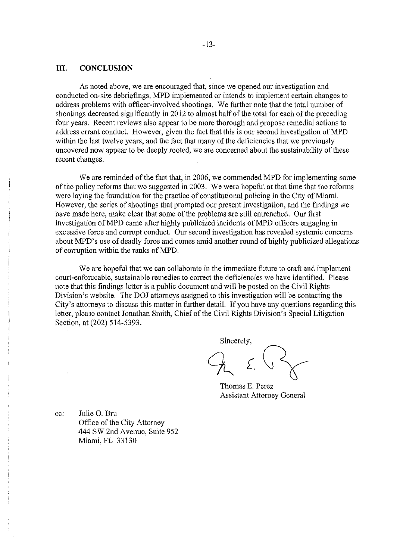### **III. CONCLUSION**

As noted above, we are encouraged that, since we opened our investigation and conducted on-site debriefings, MPD implemented or intends to implement certain changes to address problems with officer-involved shootings. We further note that the total number of shootings decreased significantly in 2012 to almost half of the total for each of the preceding four years. Recent reviews also appear to be more thorough and propose remedial actions to address errant conduct. However, given the fact that this is our second investigation of MPD within the last twelve years, and the fact that many of the deficiencies that we previously uncovered now appear to be deeply rooted, we are concerned about the sustainability of these recent changes.

We are reminded of the fact that, in 2006, we commended MPD for implementing some of the policy reforms that we suggested in 2003. We were hopeful at that time that the reforms were laying the foundation for the practice of constitutional policing in the City of Miami. However, the series of shootings that prompted our present investigation, and the findings we have made here, make clear that some of the problems are still entrenched. Our first investigation of MPD came after highly publicized incidents of MPD officers engaging in excessive force and corrupt conduct. Our second investigation has revealed systemic concerns about MPD's use of deadly force and comes amid another round of highly publicized allegations of corruption within the ranks of MPD.

We are hopeful that we can collaborate in the immediate future to craft and implement court-enfon;eable, sustainable remedies to correct the deficiencies we have identified. Please note that this findings letter is a public document and will be posted on the Civil Rights Division's website. The DOJ attorneys assigned to this investigation will be contacting the City's attorneys to discuss this matter in further detail. If you have any questions regarding this letter, please contact Jonathan Smith, Chief of the Civil Rights Division's Special Litigation Section, at (202) 514-5393.

Sincerely,  $\lambda$   $\left\{\right\}$ 

Thomas E. Perez Assistant Attorney General

cc; Julie O. Bru Office of the City Attorney 444 SW 2nd Avenue, Suite 952 Miami, FL 33130